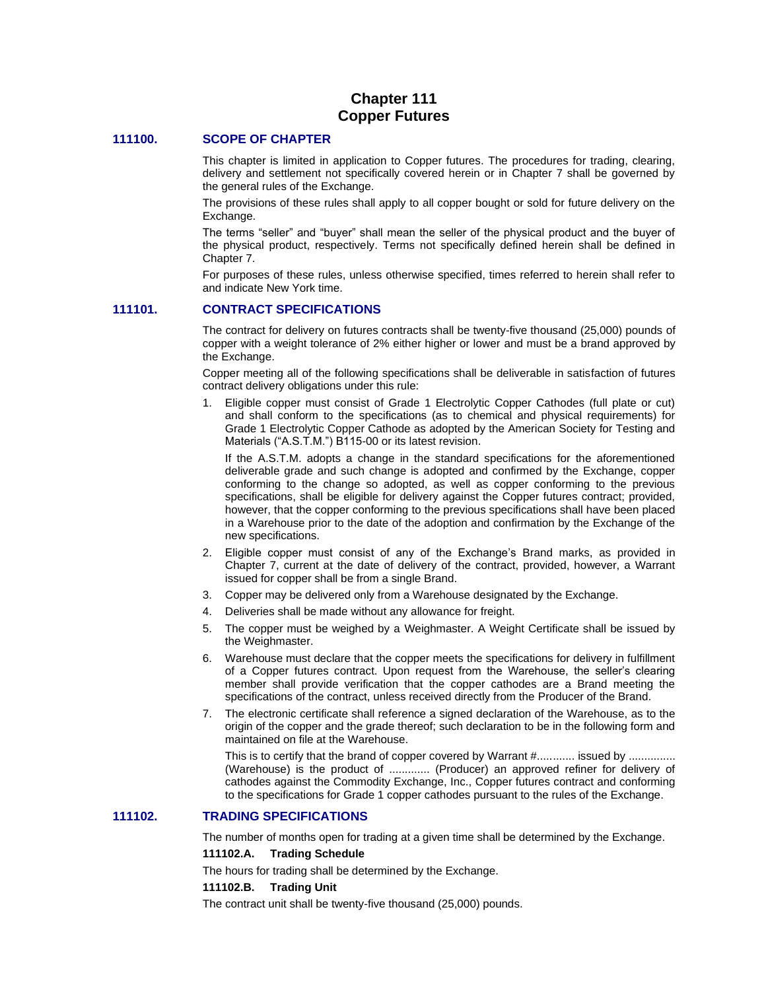# **Chapter 111 Copper Futures**

## **111100. SCOPE OF CHAPTER**

This chapter is limited in application to Copper futures. The procedures for trading, clearing, delivery and settlement not specifically covered herein or in Chapter 7 shall be governed by the general rules of the Exchange.

The provisions of these rules shall apply to all copper bought or sold for future delivery on the Exchange.

The terms "seller" and "buyer" shall mean the seller of the physical product and the buyer of the physical product, respectively. Terms not specifically defined herein shall be defined in Chapter 7.

For purposes of these rules, unless otherwise specified, times referred to herein shall refer to and indicate New York time.

## **111101. CONTRACT SPECIFICATIONS**

The contract for delivery on futures contracts shall be twenty-five thousand (25,000) pounds of copper with a weight tolerance of 2% either higher or lower and must be a brand approved by the Exchange.

Copper meeting all of the following specifications shall be deliverable in satisfaction of futures contract delivery obligations under this rule:

1. Eligible copper must consist of Grade 1 Electrolytic Copper Cathodes (full plate or cut) and shall conform to the specifications (as to chemical and physical requirements) for Grade 1 Electrolytic Copper Cathode as adopted by the American Society for Testing and Materials ("A.S.T.M.") B115-00 or its latest revision.

If the A.S.T.M. adopts a change in the standard specifications for the aforementioned deliverable grade and such change is adopted and confirmed by the Exchange, copper conforming to the change so adopted, as well as copper conforming to the previous specifications, shall be eligible for delivery against the Copper futures contract; provided, however, that the copper conforming to the previous specifications shall have been placed in a Warehouse prior to the date of the adoption and confirmation by the Exchange of the new specifications.

- 2. Eligible copper must consist of any of the Exchange's Brand marks, as provided in Chapter 7, current at the date of delivery of the contract, provided, however, a Warrant issued for copper shall be from a single Brand.
- 3. Copper may be delivered only from a Warehouse designated by the Exchange.
- 4. Deliveries shall be made without any allowance for freight.
- 5. The copper must be weighed by a Weighmaster. A Weight Certificate shall be issued by the Weighmaster.
- 6. Warehouse must declare that the copper meets the specifications for delivery in fulfillment of a Copper futures contract. Upon request from the Warehouse, the seller's clearing member shall provide verification that the copper cathodes are a Brand meeting the specifications of the contract, unless received directly from the Producer of the Brand.
- 7. The electronic certificate shall reference a signed declaration of the Warehouse, as to the origin of the copper and the grade thereof; such declaration to be in the following form and maintained on file at the Warehouse.

This is to certify that the brand of copper covered by Warrant #............ issued by .............. (Warehouse) is the product of ............. (Producer) an approved refiner for delivery of cathodes against the Commodity Exchange, Inc., Copper futures contract and conforming to the specifications for Grade 1 copper cathodes pursuant to the rules of the Exchange.

## **111102. TRADING SPECIFICATIONS**

The number of months open for trading at a given time shall be determined by the Exchange.

#### **111102.A. Trading Schedule**

The hours for trading shall be determined by the Exchange.

#### **111102.B. Trading Unit**

The contract unit shall be twenty-five thousand (25,000) pounds.